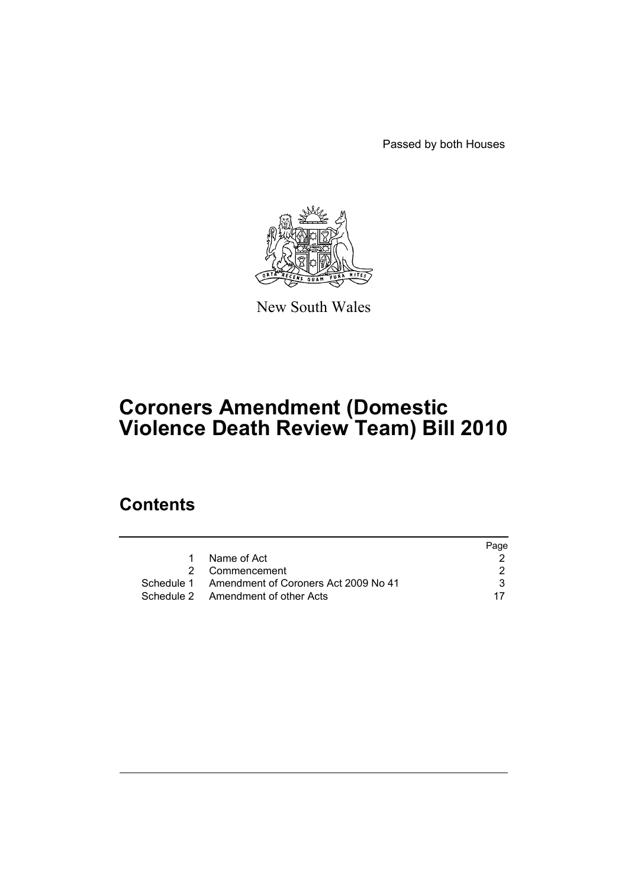Passed by both Houses



New South Wales

# **Coroners Amendment (Domestic Violence Death Review Team) Bill 2010**

# **Contents**

|                                                 | Page |
|-------------------------------------------------|------|
| Name of Act                                     |      |
| 2 Commencement                                  |      |
| Schedule 1 Amendment of Coroners Act 2009 No 41 | 3.   |
| Schedule 2 Amendment of other Acts              |      |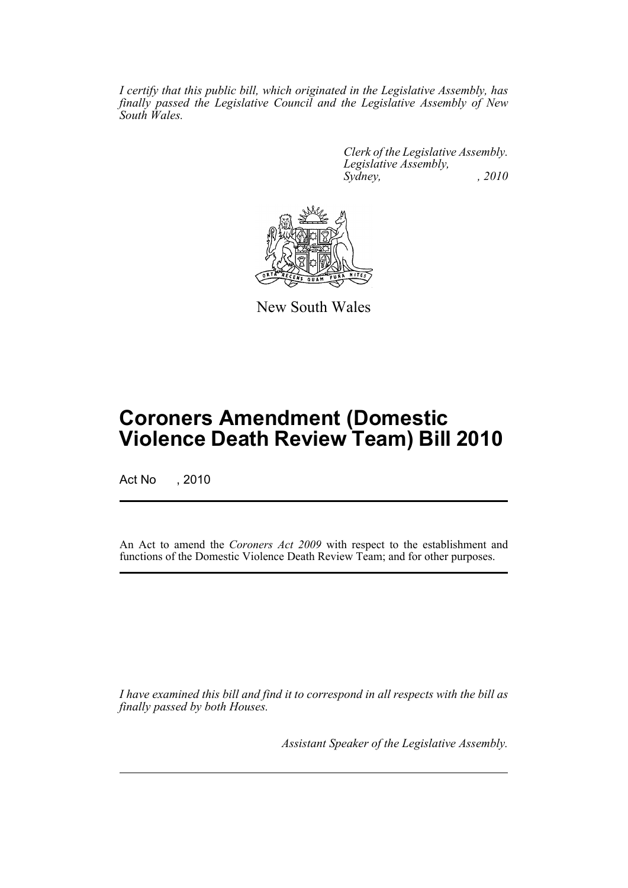*I certify that this public bill, which originated in the Legislative Assembly, has finally passed the Legislative Council and the Legislative Assembly of New South Wales.*

> *Clerk of the Legislative Assembly. Legislative Assembly, Sydney, , 2010*



New South Wales

# **Coroners Amendment (Domestic Violence Death Review Team) Bill 2010**

Act No , 2010

An Act to amend the *Coroners Act 2009* with respect to the establishment and functions of the Domestic Violence Death Review Team; and for other purposes.

*I have examined this bill and find it to correspond in all respects with the bill as finally passed by both Houses.*

*Assistant Speaker of the Legislative Assembly.*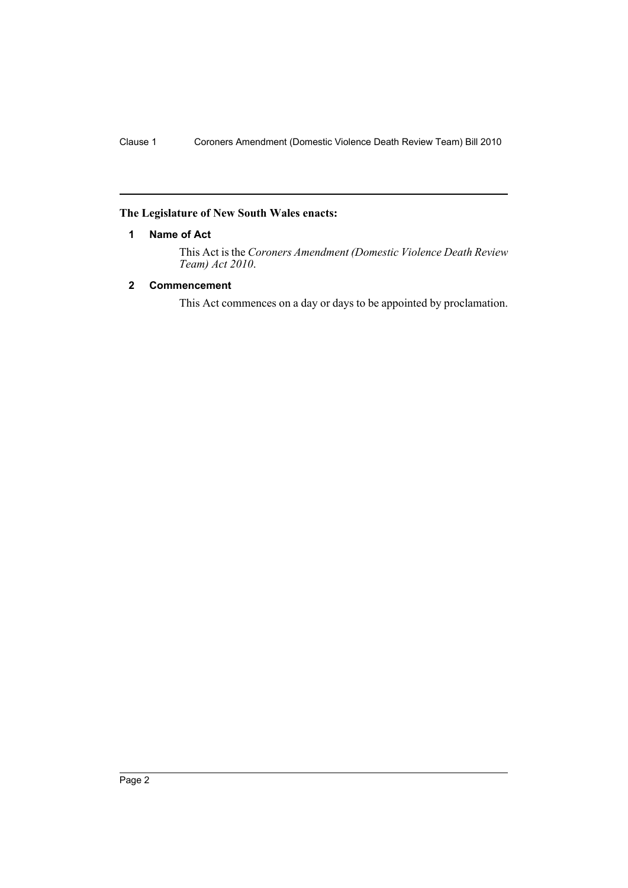### <span id="page-2-0"></span>**The Legislature of New South Wales enacts:**

### **1 Name of Act**

This Act is the *Coroners Amendment (Domestic Violence Death Review Team) Act 2010*.

### <span id="page-2-1"></span>**2 Commencement**

This Act commences on a day or days to be appointed by proclamation.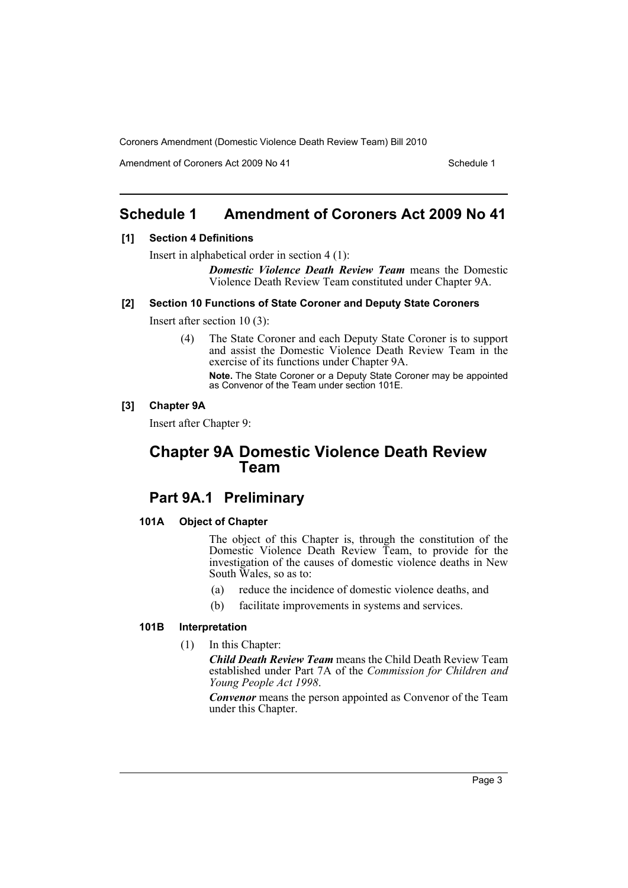Amendment of Coroners Act 2009 No 41 Schedule 1

# <span id="page-3-0"></span>**Schedule 1 Amendment of Coroners Act 2009 No 41**

### **[1] Section 4 Definitions**

Insert in alphabetical order in section 4 (1):

*Domestic Violence Death Review Team* means the Domestic Violence Death Review Team constituted under Chapter 9A.

#### **[2] Section 10 Functions of State Coroner and Deputy State Coroners**

Insert after section 10 (3):

(4) The State Coroner and each Deputy State Coroner is to support and assist the Domestic Violence Death Review Team in the exercise of its functions under Chapter 9A. **Note.** The State Coroner or a Deputy State Coroner may be appointed as Convenor of the Team under section 101E.

### **[3] Chapter 9A**

Insert after Chapter 9:

# **Chapter 9A Domestic Violence Death Review Team**

# **Part 9A.1 Preliminary**

#### **101A Object of Chapter**

The object of this Chapter is, through the constitution of the Domestic Violence Death Review Team, to provide for the investigation of the causes of domestic violence deaths in New South Wales, so as to:

- (a) reduce the incidence of domestic violence deaths, and
- (b) facilitate improvements in systems and services.

### **101B Interpretation**

### (1) In this Chapter:

*Child Death Review Team* means the Child Death Review Team established under Part 7A of the *Commission for Children and Young People Act 1998*.

*Convenor* means the person appointed as Convenor of the Team under this Chapter.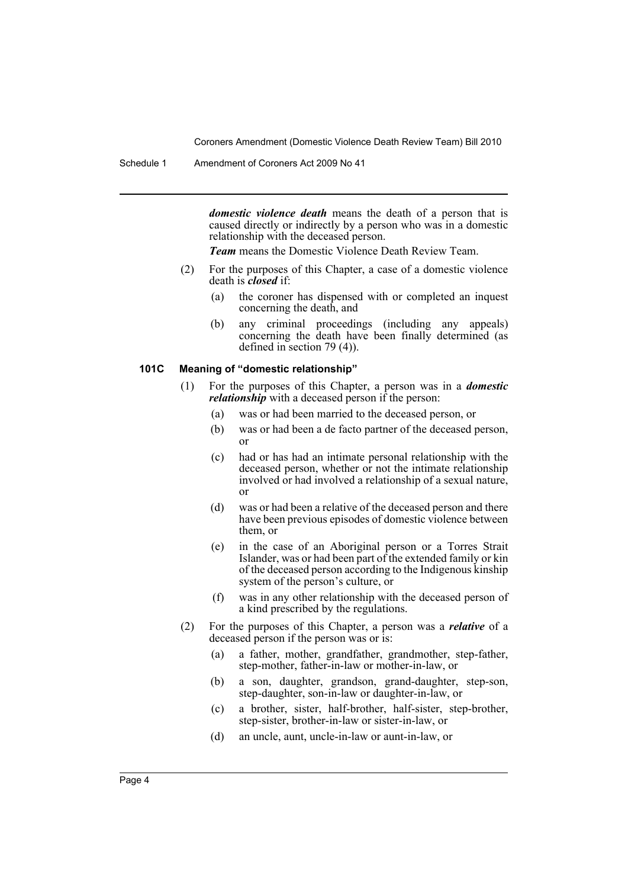*domestic violence death* means the death of a person that is caused directly or indirectly by a person who was in a domestic relationship with the deceased person.

*Team* means the Domestic Violence Death Review Team.

- (2) For the purposes of this Chapter, a case of a domestic violence death is *closed* if:
	- (a) the coroner has dispensed with or completed an inquest concerning the death, and
	- (b) any criminal proceedings (including any appeals) concerning the death have been finally determined (as defined in section 79 (4)).

#### **101C Meaning of "domestic relationship"**

- (1) For the purposes of this Chapter, a person was in a *domestic relationship* with a deceased person if the person:
	- (a) was or had been married to the deceased person, or
	- (b) was or had been a de facto partner of the deceased person, or
	- (c) had or has had an intimate personal relationship with the deceased person, whether or not the intimate relationship involved or had involved a relationship of a sexual nature, or
	- (d) was or had been a relative of the deceased person and there have been previous episodes of domestic violence between them, or
	- (e) in the case of an Aboriginal person or a Torres Strait Islander, was or had been part of the extended family or kin of the deceased person according to the Indigenous kinship system of the person's culture, or
	- (f) was in any other relationship with the deceased person of a kind prescribed by the regulations.
- (2) For the purposes of this Chapter, a person was a *relative* of a deceased person if the person was or is:
	- (a) a father, mother, grandfather, grandmother, step-father, step-mother, father-in-law or mother-in-law, or
	- (b) a son, daughter, grandson, grand-daughter, step-son, step-daughter, son-in-law or daughter-in-law, or
	- (c) a brother, sister, half-brother, half-sister, step-brother, step-sister, brother-in-law or sister-in-law, or
	- (d) an uncle, aunt, uncle-in-law or aunt-in-law, or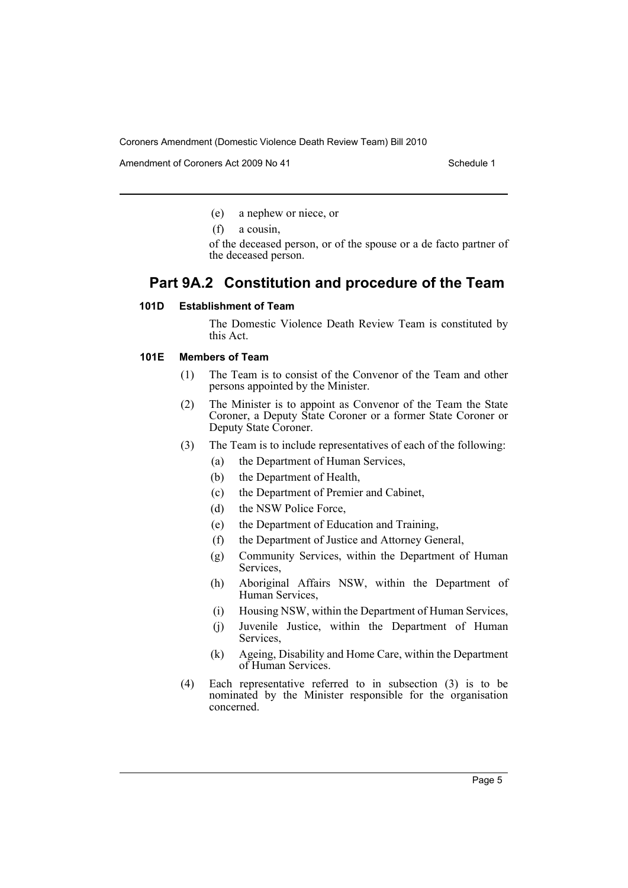Amendment of Coroners Act 2009 No 41 Schedule 1

- (e) a nephew or niece, or
- (f) a cousin,

of the deceased person, or of the spouse or a de facto partner of the deceased person.

# **Part 9A.2 Constitution and procedure of the Team**

### **101D Establishment of Team**

The Domestic Violence Death Review Team is constituted by this Act.

### **101E Members of Team**

- (1) The Team is to consist of the Convenor of the Team and other persons appointed by the Minister.
- (2) The Minister is to appoint as Convenor of the Team the State Coroner, a Deputy State Coroner or a former State Coroner or Deputy State Coroner.
- (3) The Team is to include representatives of each of the following:
	- (a) the Department of Human Services,
	- (b) the Department of Health,
	- (c) the Department of Premier and Cabinet,
	- (d) the NSW Police Force,
	- (e) the Department of Education and Training,
	- (f) the Department of Justice and Attorney General,
	- (g) Community Services, within the Department of Human Services,
	- (h) Aboriginal Affairs NSW, within the Department of Human Services,
	- (i) Housing NSW, within the Department of Human Services,
	- (j) Juvenile Justice, within the Department of Human Services,
	- (k) Ageing, Disability and Home Care, within the Department of Human Services.
- (4) Each representative referred to in subsection (3) is to be nominated by the Minister responsible for the organisation concerned.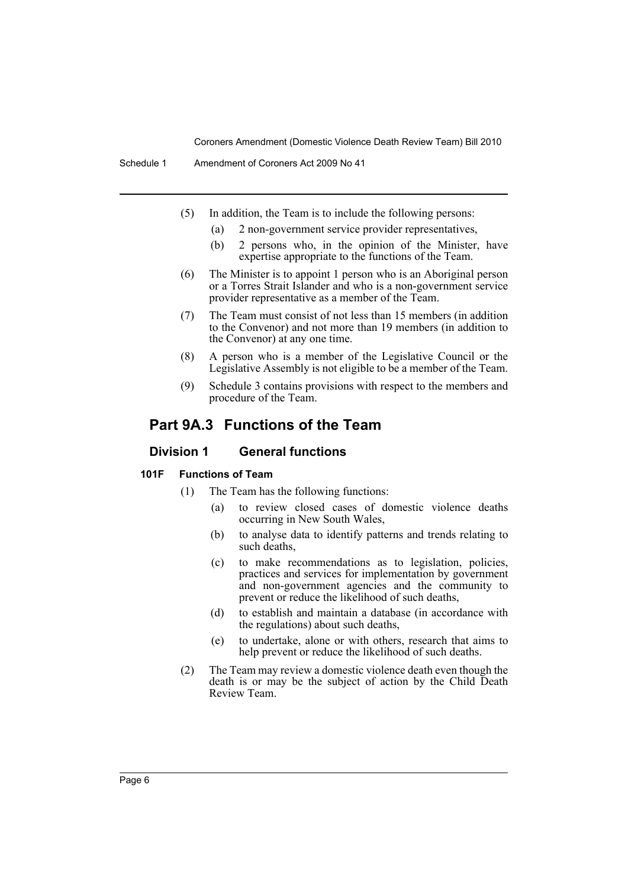- (5) In addition, the Team is to include the following persons:
	- (a) 2 non-government service provider representatives,
	- (b) 2 persons who, in the opinion of the Minister, have expertise appropriate to the functions of the Team.
- (6) The Minister is to appoint 1 person who is an Aboriginal person or a Torres Strait Islander and who is a non-government service provider representative as a member of the Team.
- (7) The Team must consist of not less than 15 members (in addition to the Convenor) and not more than 19 members (in addition to the Convenor) at any one time.
- (8) A person who is a member of the Legislative Council or the Legislative Assembly is not eligible to be a member of the Team.
- (9) Schedule 3 contains provisions with respect to the members and procedure of the Team.

# **Part 9A.3 Functions of the Team**

### **Division 1 General functions**

#### **101F Functions of Team**

- (1) The Team has the following functions:
	- (a) to review closed cases of domestic violence deaths occurring in New South Wales,
	- (b) to analyse data to identify patterns and trends relating to such deaths,
	- (c) to make recommendations as to legislation, policies, practices and services for implementation by government and non-government agencies and the community to prevent or reduce the likelihood of such deaths,
	- (d) to establish and maintain a database (in accordance with the regulations) about such deaths,
	- (e) to undertake, alone or with others, research that aims to help prevent or reduce the likelihood of such deaths.
- (2) The Team may review a domestic violence death even though the death is or may be the subject of action by the Child Death Review Team.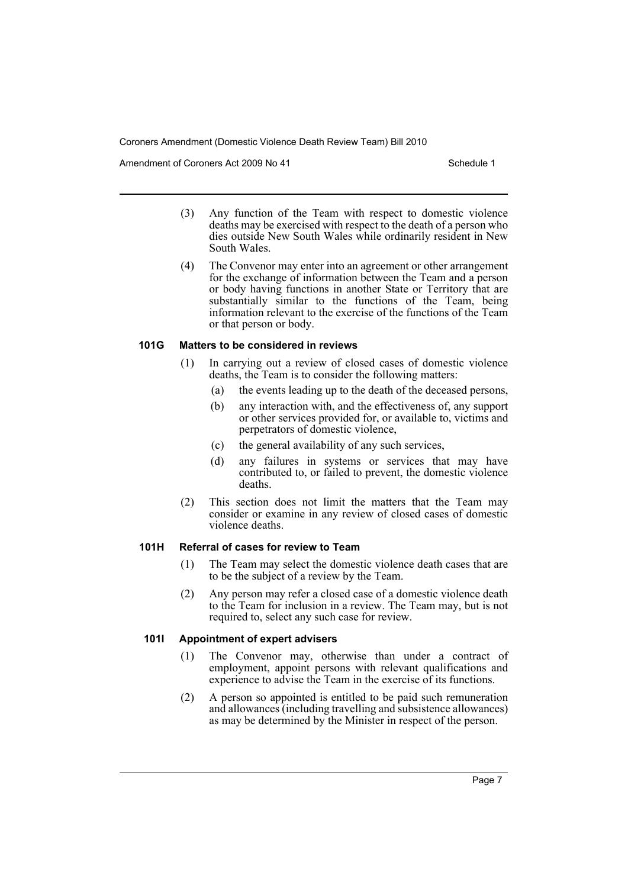Amendment of Coroners Act 2009 No 41 Schedule 1

- (3) Any function of the Team with respect to domestic violence deaths may be exercised with respect to the death of a person who dies outside New South Wales while ordinarily resident in New South Wales.
- (4) The Convenor may enter into an agreement or other arrangement for the exchange of information between the Team and a person or body having functions in another State or Territory that are substantially similar to the functions of the Team, being information relevant to the exercise of the functions of the Team or that person or body.

### **101G Matters to be considered in reviews**

- (1) In carrying out a review of closed cases of domestic violence deaths, the Team is to consider the following matters:
	- (a) the events leading up to the death of the deceased persons,
	- (b) any interaction with, and the effectiveness of, any support or other services provided for, or available to, victims and perpetrators of domestic violence,
	- (c) the general availability of any such services,
	- (d) any failures in systems or services that may have contributed to, or failed to prevent, the domestic violence deaths.
- (2) This section does not limit the matters that the Team may consider or examine in any review of closed cases of domestic violence deaths.

### **101H Referral of cases for review to Team**

- (1) The Team may select the domestic violence death cases that are to be the subject of a review by the Team.
- (2) Any person may refer a closed case of a domestic violence death to the Team for inclusion in a review. The Team may, but is not required to, select any such case for review.

### **101I Appointment of expert advisers**

- (1) The Convenor may, otherwise than under a contract of employment, appoint persons with relevant qualifications and experience to advise the Team in the exercise of its functions.
- (2) A person so appointed is entitled to be paid such remuneration and allowances (including travelling and subsistence allowances) as may be determined by the Minister in respect of the person.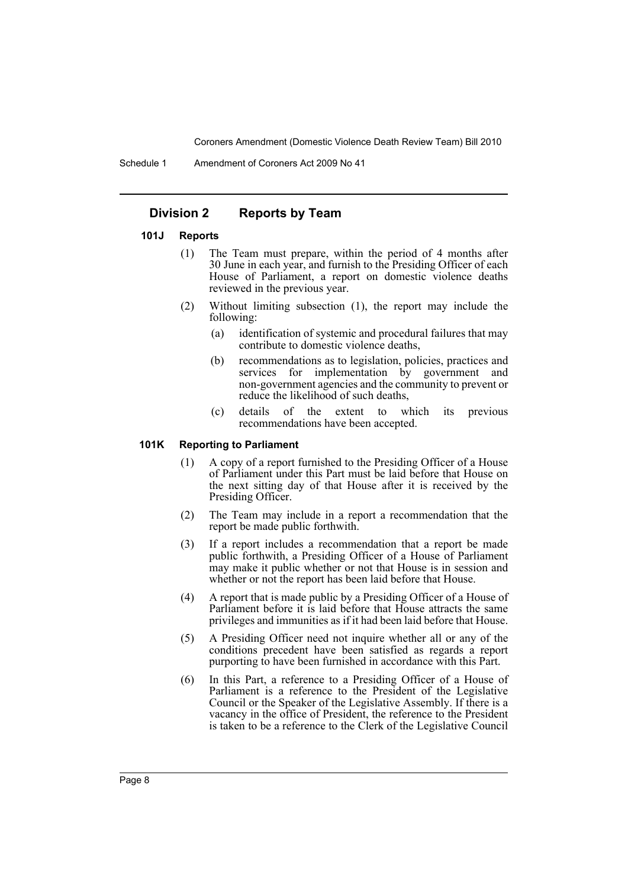Schedule 1 Amendment of Coroners Act 2009 No 41

## **Division 2 Reports by Team**

### **101J Reports**

- (1) The Team must prepare, within the period of 4 months after 30 June in each year, and furnish to the Presiding Officer of each House of Parliament, a report on domestic violence deaths reviewed in the previous year.
- (2) Without limiting subsection (1), the report may include the following:
	- (a) identification of systemic and procedural failures that may contribute to domestic violence deaths,
	- (b) recommendations as to legislation, policies, practices and services for implementation by government and non-government agencies and the community to prevent or reduce the likelihood of such deaths,
	- (c) details of the extent to which its previous recommendations have been accepted.

### **101K Reporting to Parliament**

- (1) A copy of a report furnished to the Presiding Officer of a House of Parliament under this Part must be laid before that House on the next sitting day of that House after it is received by the Presiding Officer.
- (2) The Team may include in a report a recommendation that the report be made public forthwith.
- (3) If a report includes a recommendation that a report be made public forthwith, a Presiding Officer of a House of Parliament may make it public whether or not that House is in session and whether or not the report has been laid before that House.
- (4) A report that is made public by a Presiding Officer of a House of Parliament before it is laid before that House attracts the same privileges and immunities as if it had been laid before that House.
- (5) A Presiding Officer need not inquire whether all or any of the conditions precedent have been satisfied as regards a report purporting to have been furnished in accordance with this Part.
- (6) In this Part, a reference to a Presiding Officer of a House of Parliament is a reference to the President of the Legislative Council or the Speaker of the Legislative Assembly. If there is a vacancy in the office of President, the reference to the President is taken to be a reference to the Clerk of the Legislative Council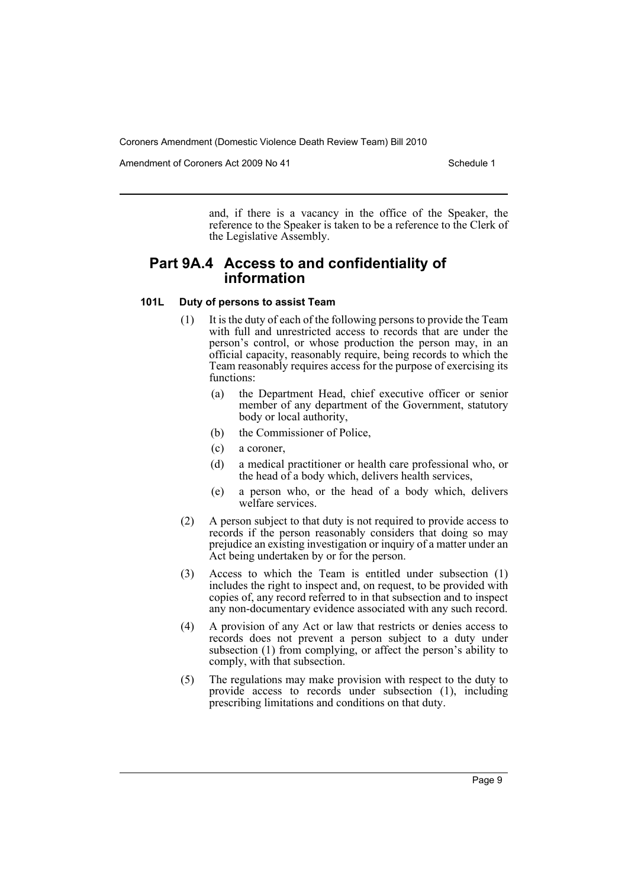Amendment of Coroners Act 2009 No 41 Schedule 1

and, if there is a vacancy in the office of the Speaker, the reference to the Speaker is taken to be a reference to the Clerk of the Legislative Assembly.

# **Part 9A.4 Access to and confidentiality of information**

### **101L Duty of persons to assist Team**

- (1) It is the duty of each of the following persons to provide the Team with full and unrestricted access to records that are under the person's control, or whose production the person may, in an official capacity, reasonably require, being records to which the Team reasonably requires access for the purpose of exercising its functions:
	- (a) the Department Head, chief executive officer or senior member of any department of the Government, statutory body or local authority,
	- (b) the Commissioner of Police,
	- (c) a coroner,
	- (d) a medical practitioner or health care professional who, or the head of a body which, delivers health services,
	- (e) a person who, or the head of a body which, delivers welfare services.
- (2) A person subject to that duty is not required to provide access to records if the person reasonably considers that doing so may prejudice an existing investigation or inquiry of a matter under an Act being undertaken by or for the person.
- (3) Access to which the Team is entitled under subsection (1) includes the right to inspect and, on request, to be provided with copies of, any record referred to in that subsection and to inspect any non-documentary evidence associated with any such record.
- (4) A provision of any Act or law that restricts or denies access to records does not prevent a person subject to a duty under subsection (1) from complying, or affect the person's ability to comply, with that subsection.
- (5) The regulations may make provision with respect to the duty to provide access to records under subsection (1), including prescribing limitations and conditions on that duty.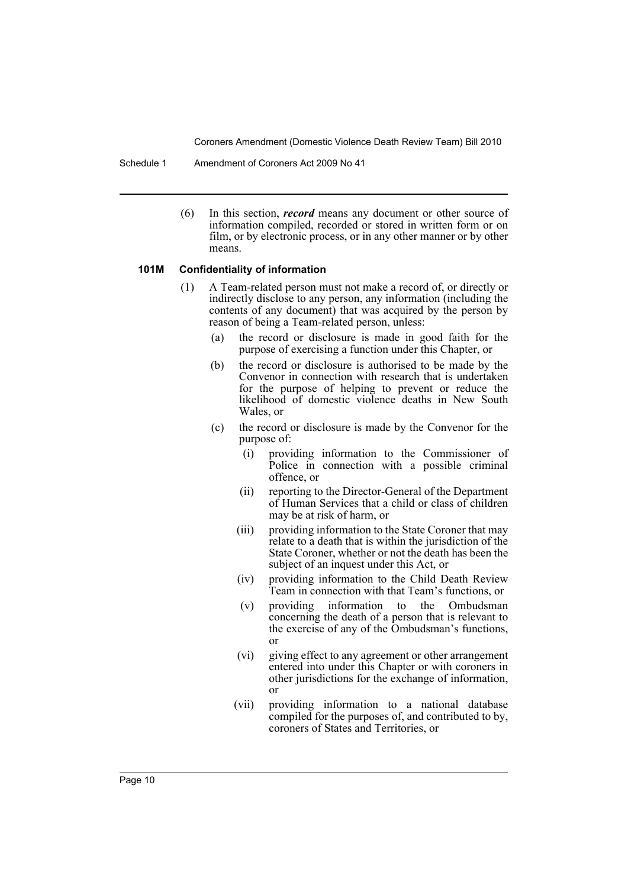Schedule 1 Amendment of Coroners Act 2009 No 41

(6) In this section, *record* means any document or other source of information compiled, recorded or stored in written form or on film, or by electronic process, or in any other manner or by other means.

#### **101M Confidentiality of information**

- (1) A Team-related person must not make a record of, or directly or indirectly disclose to any person, any information (including the contents of any document) that was acquired by the person by reason of being a Team-related person, unless:
	- (a) the record or disclosure is made in good faith for the purpose of exercising a function under this Chapter, or
	- (b) the record or disclosure is authorised to be made by the Convenor in connection with research that is undertaken for the purpose of helping to prevent or reduce the likelihood of domestic violence deaths in New South Wales, or
	- (c) the record or disclosure is made by the Convenor for the purpose of:
		- (i) providing information to the Commissioner of Police in connection with a possible criminal offence, or
		- (ii) reporting to the Director-General of the Department of Human Services that a child or class of children may be at risk of harm, or
		- (iii) providing information to the State Coroner that may relate to a death that is within the jurisdiction of the State Coroner, whether or not the death has been the subject of an inquest under this Act, or
		- (iv) providing information to the Child Death Review Team in connection with that Team's functions, or
		- (v) providing information to the Ombudsman concerning the death of a person that is relevant to the exercise of any of the Ombudsman's functions, or
		- (vi) giving effect to any agreement or other arrangement entered into under this Chapter or with coroners in other jurisdictions for the exchange of information, or
		- (vii) providing information to a national database compiled for the purposes of, and contributed to by, coroners of States and Territories, or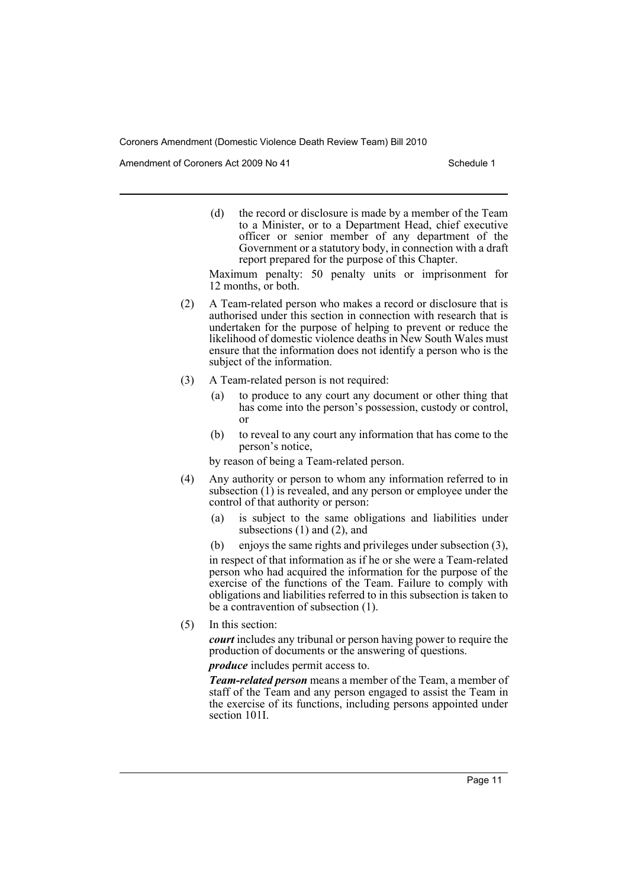Amendment of Coroners Act 2009 No 41 Schedule 1

(d) the record or disclosure is made by a member of the Team to a Minister, or to a Department Head, chief executive officer or senior member of any department of the Government or a statutory body, in connection with a draft report prepared for the purpose of this Chapter.

Maximum penalty: 50 penalty units or imprisonment for 12 months, or both.

- (2) A Team-related person who makes a record or disclosure that is authorised under this section in connection with research that is undertaken for the purpose of helping to prevent or reduce the likelihood of domestic violence deaths in New South Wales must ensure that the information does not identify a person who is the subject of the information.
- (3) A Team-related person is not required:
	- (a) to produce to any court any document or other thing that has come into the person's possession, custody or control, or
	- (b) to reveal to any court any information that has come to the person's notice,
	- by reason of being a Team-related person.
- (4) Any authority or person to whom any information referred to in subsection  $(1)$  is revealed, and any person or employee under the control of that authority or person:
	- (a) is subject to the same obligations and liabilities under subsections (1) and (2), and

(b) enjoys the same rights and privileges under subsection (3), in respect of that information as if he or she were a Team-related person who had acquired the information for the purpose of the exercise of the functions of the Team. Failure to comply with obligations and liabilities referred to in this subsection is taken to be a contravention of subsection (1).

(5) In this section:

*court* includes any tribunal or person having power to require the production of documents or the answering of questions.

*produce* includes permit access to.

*Team-related person* means a member of the Team, a member of staff of the Team and any person engaged to assist the Team in the exercise of its functions, including persons appointed under section 101I.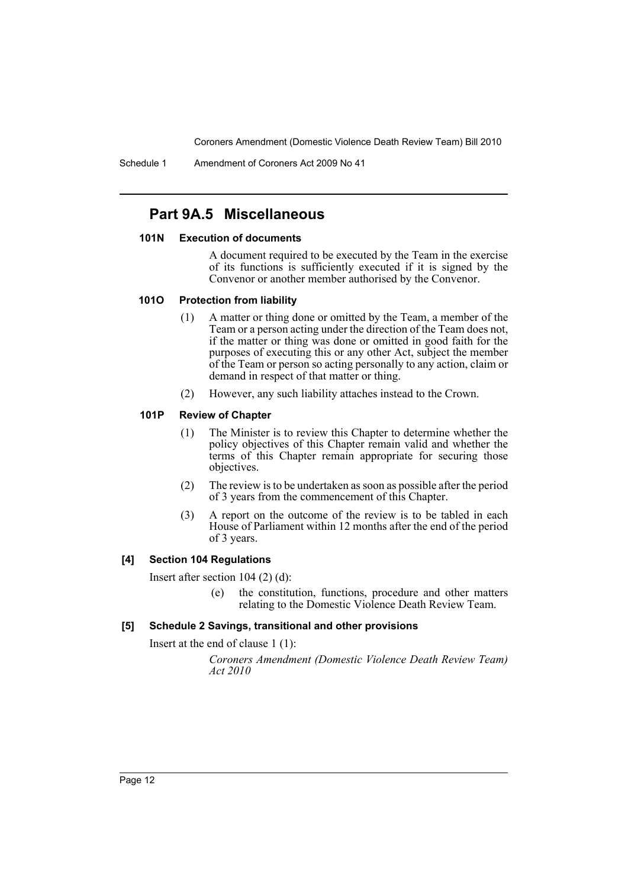Schedule 1 Amendment of Coroners Act 2009 No 41

# **Part 9A.5 Miscellaneous**

### **101N Execution of documents**

A document required to be executed by the Team in the exercise of its functions is sufficiently executed if it is signed by the Convenor or another member authorised by the Convenor.

### **101O Protection from liability**

- (1) A matter or thing done or omitted by the Team, a member of the Team or a person acting under the direction of the Team does not, if the matter or thing was done or omitted in good faith for the purposes of executing this or any other Act, subject the member of the Team or person so acting personally to any action, claim or demand in respect of that matter or thing.
- (2) However, any such liability attaches instead to the Crown.

### **101P Review of Chapter**

- (1) The Minister is to review this Chapter to determine whether the policy objectives of this Chapter remain valid and whether the terms of this Chapter remain appropriate for securing those objectives.
- (2) The review is to be undertaken as soon as possible after the period of 3 years from the commencement of this Chapter.
- (3) A report on the outcome of the review is to be tabled in each House of Parliament within 12 months after the end of the period of 3 years.

### **[4] Section 104 Regulations**

Insert after section 104 (2) (d):

(e) the constitution, functions, procedure and other matters relating to the Domestic Violence Death Review Team.

### **[5] Schedule 2 Savings, transitional and other provisions**

Insert at the end of clause 1 (1):

*Coroners Amendment (Domestic Violence Death Review Team) Act 2010*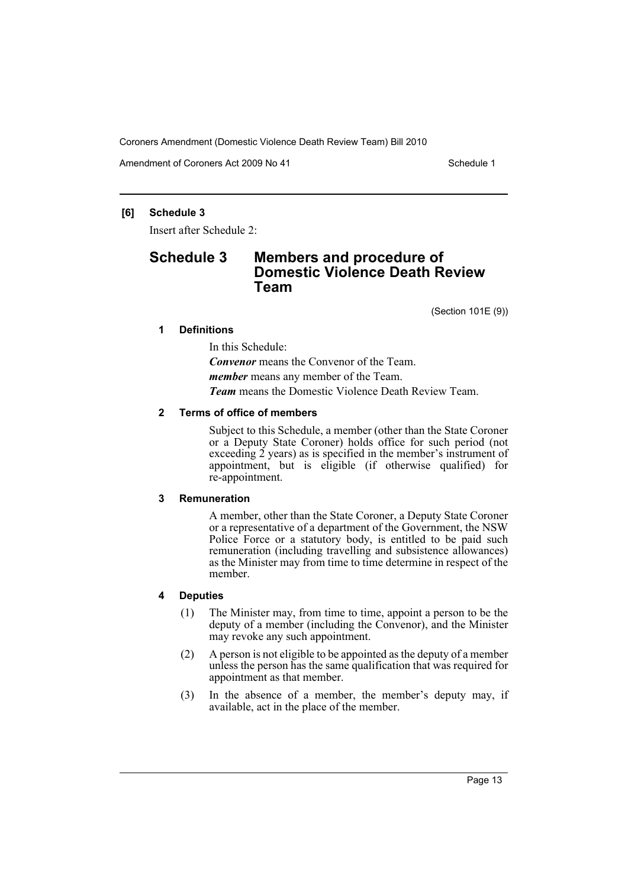Amendment of Coroners Act 2009 No 41 Schedule 1

### **[6] Schedule 3**

Insert after Schedule 2:

# **Schedule 3 Members and procedure of Domestic Violence Death Review Team**

(Section 101E (9))

## **1 Definitions**

In this Schedule:

*Convenor* means the Convenor of the Team. *member* means any member of the Team.

*Team* means the Domestic Violence Death Review Team.

### **2 Terms of office of members**

Subject to this Schedule, a member (other than the State Coroner or a Deputy State Coroner) holds office for such period (not exceeding 2 years) as is specified in the member's instrument of appointment, but is eligible (if otherwise qualified) for re-appointment.

### **3 Remuneration**

A member, other than the State Coroner, a Deputy State Coroner or a representative of a department of the Government, the NSW Police Force or a statutory body, is entitled to be paid such remuneration (including travelling and subsistence allowances) as the Minister may from time to time determine in respect of the member.

## **4 Deputies**

- (1) The Minister may, from time to time, appoint a person to be the deputy of a member (including the Convenor), and the Minister may revoke any such appointment.
- (2) A person is not eligible to be appointed as the deputy of a member unless the person has the same qualification that was required for appointment as that member.
- (3) In the absence of a member, the member's deputy may, if available, act in the place of the member.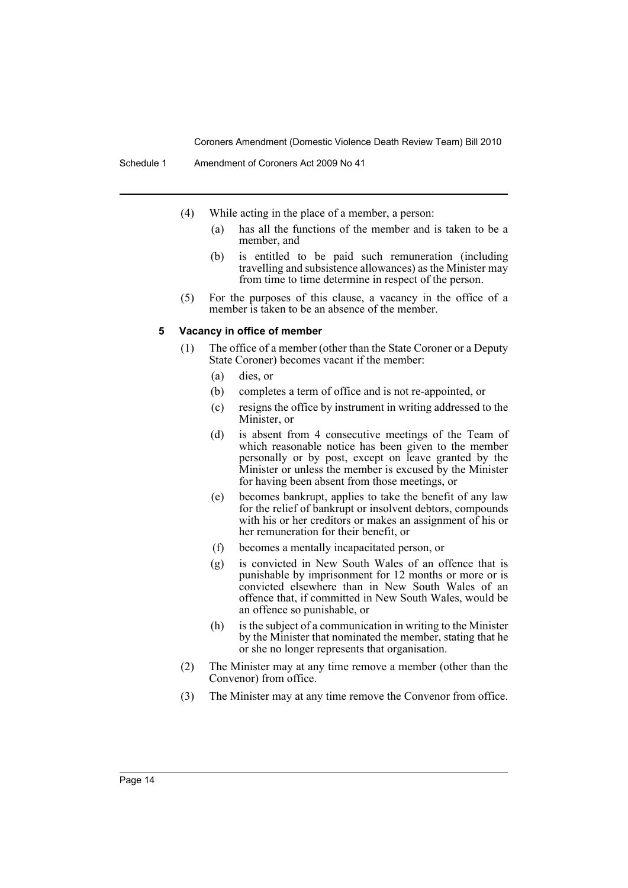- (4) While acting in the place of a member, a person:
	- (a) has all the functions of the member and is taken to be a member, and
	- (b) is entitled to be paid such remuneration (including travelling and subsistence allowances) as the Minister may from time to time determine in respect of the person.
- (5) For the purposes of this clause, a vacancy in the office of a member is taken to be an absence of the member.

#### **5 Vacancy in office of member**

- (1) The office of a member (other than the State Coroner or a Deputy State Coroner) becomes vacant if the member:
	- (a) dies, or
	- (b) completes a term of office and is not re-appointed, or
	- (c) resigns the office by instrument in writing addressed to the Minister, or
	- (d) is absent from 4 consecutive meetings of the Team of which reasonable notice has been given to the member personally or by post, except on leave granted by the Minister or unless the member is excused by the Minister for having been absent from those meetings, or
	- (e) becomes bankrupt, applies to take the benefit of any law for the relief of bankrupt or insolvent debtors, compounds with his or her creditors or makes an assignment of his or her remuneration for their benefit, or
	- (f) becomes a mentally incapacitated person, or
	- (g) is convicted in New South Wales of an offence that is punishable by imprisonment for 12 months or more or is convicted elsewhere than in New South Wales of an offence that, if committed in New South Wales, would be an offence so punishable, or
	- (h) is the subject of a communication in writing to the Minister by the Minister that nominated the member, stating that he or she no longer represents that organisation.
- (2) The Minister may at any time remove a member (other than the Convenor) from office.
- (3) The Minister may at any time remove the Convenor from office.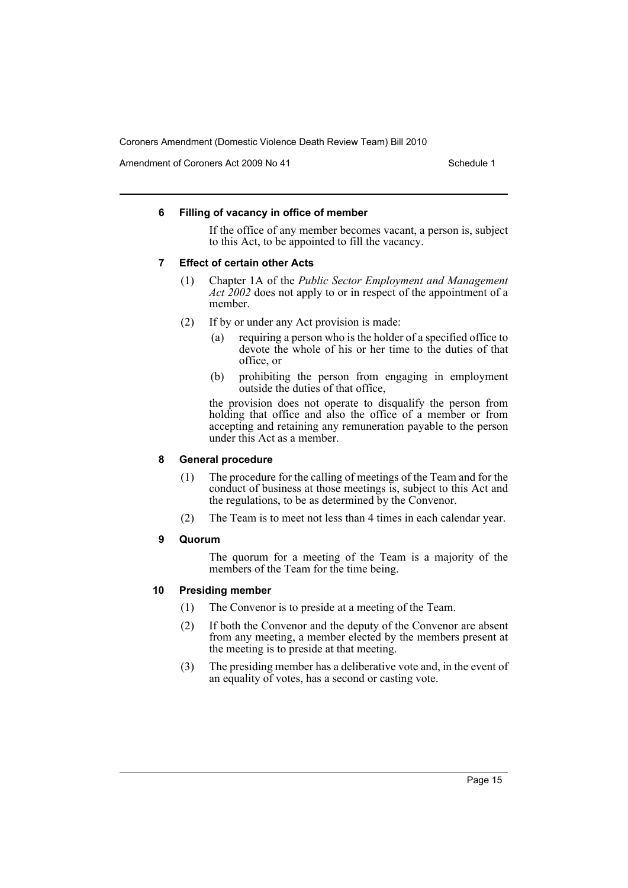Amendment of Coroners Act 2009 No 41 Schedule 1

### **6 Filling of vacancy in office of member**

If the office of any member becomes vacant, a person is, subject to this Act, to be appointed to fill the vacancy.

#### **7 Effect of certain other Acts**

- (1) Chapter 1A of the *Public Sector Employment and Management Act 2002* does not apply to or in respect of the appointment of a member.
- (2) If by or under any Act provision is made:
	- (a) requiring a person who is the holder of a specified office to devote the whole of his or her time to the duties of that office, or
	- (b) prohibiting the person from engaging in employment outside the duties of that office,

the provision does not operate to disqualify the person from holding that office and also the office of a member or from accepting and retaining any remuneration payable to the person under this Act as a member.

### **8 General procedure**

- (1) The procedure for the calling of meetings of the Team and for the conduct of business at those meetings is, subject to this Act and the regulations, to be as determined by the Convenor.
- (2) The Team is to meet not less than 4 times in each calendar year.

#### **9 Quorum**

The quorum for a meeting of the Team is a majority of the members of the Team for the time being.

### **10 Presiding member**

- (1) The Convenor is to preside at a meeting of the Team.
- (2) If both the Convenor and the deputy of the Convenor are absent from any meeting, a member elected by the members present at the meeting is to preside at that meeting.
- (3) The presiding member has a deliberative vote and, in the event of an equality of votes, has a second or casting vote.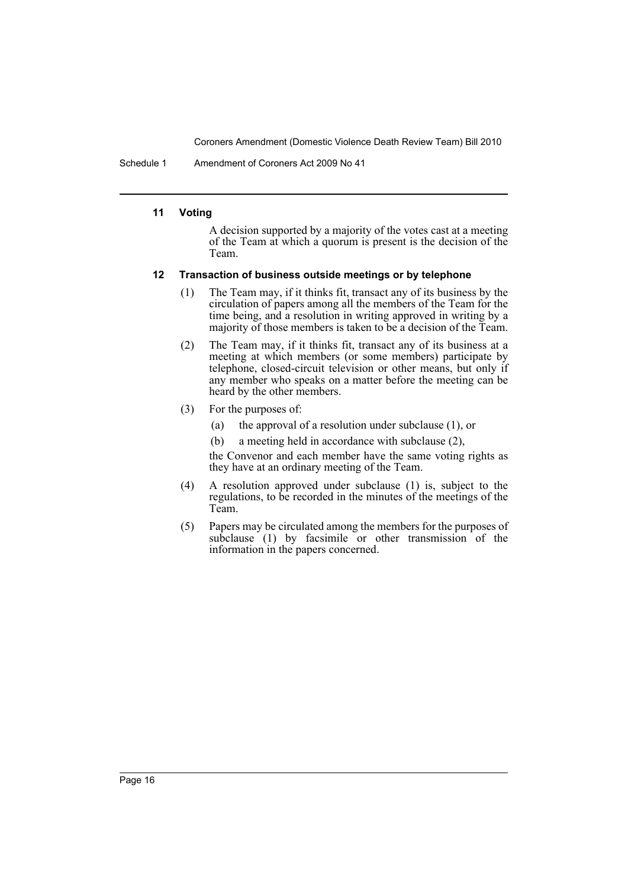Schedule 1 Amendment of Coroners Act 2009 No 41

### **11 Voting**

A decision supported by a majority of the votes cast at a meeting of the Team at which a quorum is present is the decision of the Team.

### **12 Transaction of business outside meetings or by telephone**

- (1) The Team may, if it thinks fit, transact any of its business by the circulation of papers among all the members of the Team for the time being, and a resolution in writing approved in writing by a majority of those members is taken to be a decision of the Team.
- (2) The Team may, if it thinks fit, transact any of its business at a meeting at which members (or some members) participate by telephone, closed-circuit television or other means, but only if any member who speaks on a matter before the meeting can be heard by the other members.
- (3) For the purposes of:
	- (a) the approval of a resolution under subclause (1), or
	- (b) a meeting held in accordance with subclause (2),

the Convenor and each member have the same voting rights as they have at an ordinary meeting of the Team.

- (4) A resolution approved under subclause (1) is, subject to the regulations, to be recorded in the minutes of the meetings of the Team.
- (5) Papers may be circulated among the members for the purposes of subclause  $(1)$  by facsimile or other transmission of the information in the papers concerned.